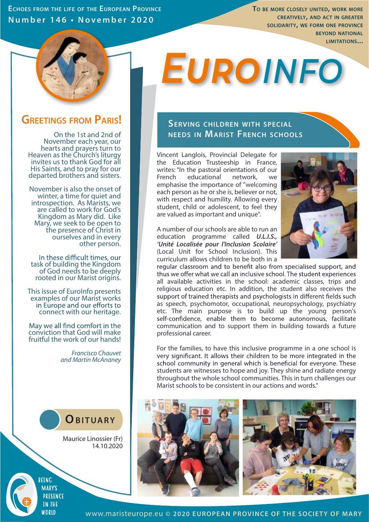**ECHOES FROM THE LIFE OF THE EUROPEAN PROVINCE Number 1 4 6 • No v ember 2 0 2 0**

**TO BE MORE CLOSELY UNITED, WORK MORE CREATIVELY, AND ACT IN GREATER SOLIDARITY, WE FORM ONE PROVINCE BEYOND NATIONAL LIMITATIONS...**



# **EUROINFO**

## **GREETINGS FROM PARIS! SERVING CHILDREN WITH SPECIAL**

On the 1st and 2nd of November each year, our hearts and prayers turn to Heaven as the Church's liturgy invites us to thank God for all His Saints, and to pray for our departed brothers and sisters.

November is also the onset of winter, a time for quiet and introspection. As Marists, we are called to work for God's Kingdom as Mary did. Like Mary, we seek to be open to the presence of Christ in ourselves and in every other person.

In these difficult times, our task of building the Kingdom of God needs to be deeply rooted in our Marist origins.

This issue of EuroInfo presents examples of our Marist works<br>in Europe and our efforts to connect with our heritage.

May we all find comfort in the conviction that God will make fruitful the work of our hands!

> *Francisco Chauvet and Martin McAnaney*



Maurice Linossier (Fr) 14.10.2020

**BEING MARY'S PRESENCE TN THE** WORID

## **NEEDS IN MARIST FRENCH SCHOOLS**

Vincent Langlois, Provincial Delegate for the Education Trusteeship in France, writes: "In the pastoral orientations of our French educational network, we emphasise the importance of "welcoming each person as he or she is, believer or not, with respect and humility. Allowing every student, child or adolescent, to feel they are valued as important and unique".



A number of our schools are able to run an education programme called *U.L.I.S., 'Unité Localisée pour l'Inclusion Scolaire'*  (Local Unit for School Inclusion). This curriculum allows children to be both in a

regular classroom and to benefit also from specialised support, and thus we offer what we call an inclusive school. The student experiences all available activities in the school: academic classes, trips and religious education etc. In addition, the student also receives the support of trained therapists and psychologists in different fields such as speech, psychomotor, occupational, neuropsychology, psychiatry etc. The main purpose is to build up the young person's self-confidence, enable them to become autonomous, facilitate communication and to support them in building towards a future professional career.

For the families, to have this inclusive programme in a one school is very significant. It allows their children to be more integrated in the school community in general which is beneficial for everyone. These students are witnesses to hope and joy. They shine and radiate energy throughout the whole school communities. This in turn challenges our Marist schools to be consistent in our actions and words."



www.maristeurope.eu **© 2020 EUROPEAN PROVINCE OF THE SOCIETY OF MARY**